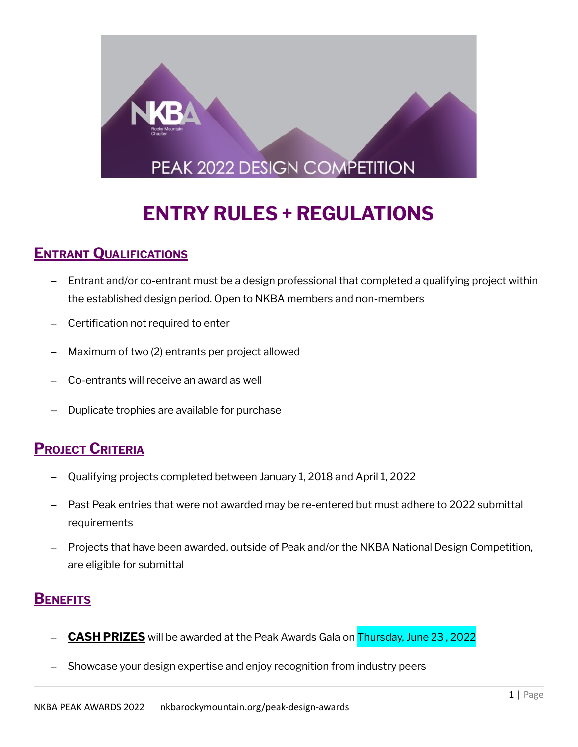

# **ENTRY RULES + REGULATIONS**

## **ENTRANT QUALIFICATIONS**

- − Entrant and/or co-entrant must be a design professional that completed a qualifying project within the established design period. Open to NKBA members and non-members
- − Certification not required to enter
- Maximum of two (2) entrants per project allowed
- − Co-entrants will receive an award as well
- Duplicate trophies are available for purchase

## **PROJECT CRITERIA**

- − Qualifying projects completed between January 1, 2018 and April 1, 2022
- Past Peak entries that were not awarded may be re-entered but must adhere to 2022 submittal requirements
- − Projects that have been awarded, outside of Peak and/or the NKBA National Design Competition, are eligible for submittal

## **BENEFITS**

- − **CASH PRIZES** will be awarded at the Peak Awards Gala on Thursday, June 23 , 2022
- Showcase your design expertise and enjoy recognition from industry peers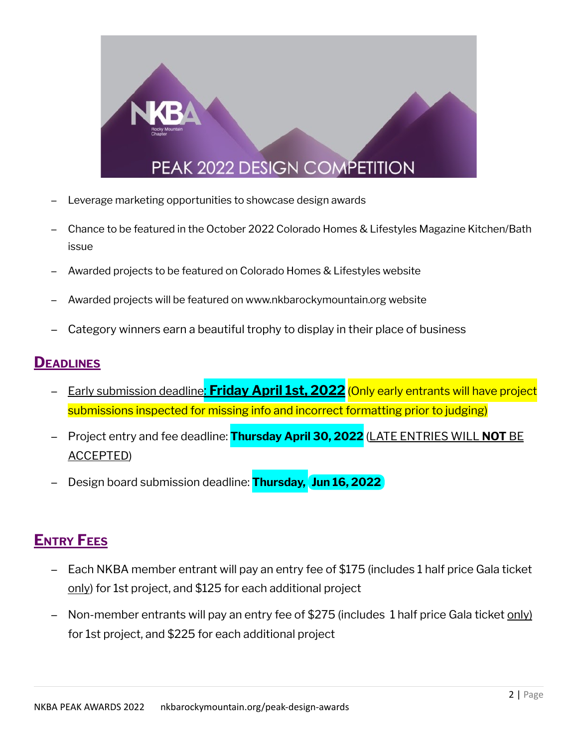

- Leverage marketing opportunities to showcase design awards
- − Chance to be featured in the October 2022 Colorado Homes & Lifestyles Magazine Kitchen/Bath issue
- Awarded projects to be featured on Colorado Homes & Lifestyles website
- Awarded projects will be featured on www.nkbarockymountain.org website
- Category winners earn a beautiful trophy to display in their place of business

#### **DEADLINES**

- − Early submission deadline: **Friday April 1st, 2022** (Only early entrants will have project submissions inspected for missing info and incorrect formatting prior to judging)
- − Project entry and fee deadline: **Thursday April 30, 2022** (LATE ENTRIES WILL **NOT** BE ACCEPTED)
- − Design board submission deadline: **Thursday, Jun 16, 2022**

## **ENTRY FEES**

- − Each NKBA member entrant will pay an entry fee of \$175 (includes 1 half price Gala ticket only) for 1st project, and \$125 for each additional project
- − Non-member entrants will pay an entry fee of \$275 (includes 1 half price Gala ticket only) for 1st project, and \$225 for each additional project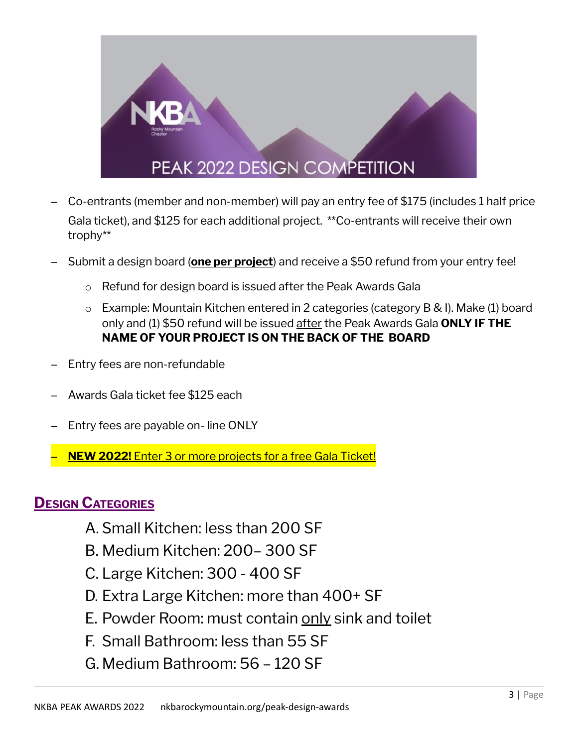

- − Co-entrants (member and non-member) will pay an entry fee of \$175 (includes 1 half price Gala ticket), and \$125 for each additional project. \*\*Co-entrants will receive their own trophy\*\*
- − Submit a design board (**one per project**) and receive a \$50 refund from your entry fee!
	- o Refund for design board is issued after the Peak Awards Gala
	- o Example: Mountain Kitchen entered in 2 categories (category B & I). Make (1) board only and (1) \$50 refund will be issued after the Peak Awards Gala **ONLY IF THE NAME OF YOUR PROJECT IS ON THE BACK OF THE BOARD**
- Entry fees are non-refundable
- − Awards Gala ticket fee \$125 each
- Entry fees are payable on- line ONLY
- − **NEW 2022!** Enter 3 or more projects for a free Gala Ticket!

### **DESIGN CATEGORIES**

- A. Small Kitchen: less than 200 SF
- B. Medium Kitchen: 200– 300 SF
- C. Large Kitchen: 300 400 SF
- D. Extra Large Kitchen: more than 400+ SF
- E. Powder Room: must contain only sink and toilet
- F. Small Bathroom: less than 55 SF
- G. Medium Bathroom: 56 120 SF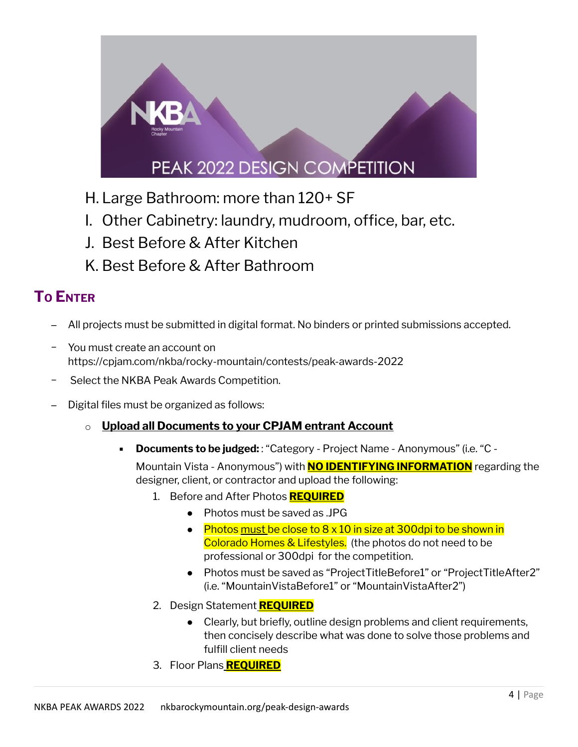

- H. Large Bathroom: more than 120+ SF
- I. Other Cabinetry: laundry, mudroom, office, bar, etc.
- J. Best Before & After Kitchen
- K. Best Before & After Bathroom

## **T<sup>O</sup> ENTER**

- − All projects must be submitted in digital format. No binders or printed submissions accepted.
- − You must create an account on https://cpjam.com/nkba/rocky-mountain/contests/peak-awards-2022
- − Select the NKBA Peak Awards Competition.
- Digital files must be organized as follows:
	- o **Upload all Documents to your CPJAM entrant Account**
		- **Documents to be judged:** : "Category Project Name Anonymous" (i.e. "C -

Mountain Vista - Anonymous") with **NO IDENTIFYING INFORMATION** regarding the designer, client, or contractor and upload the following:

- 1. Before and After Photos **REQUIRED**
	- Photos must be saved as JPG
	- Photos must be close to  $8 \times 10$  in size at 300dpi to be shown in Colorado Homes & Lifestyles. (the photos do not need to be professional or 300dpi for the competition.
	- Photos must be saved as "ProjectTitleBefore1" or "ProjectTitleAfter2" (i.e. "MountainVistaBefore1" or "MountainVistaAfter2")
- 2. Design Statement **REQUIRED**
	- Clearly, but briefly, outline design problems and client requirements, then concisely describe what was done to solve those problems and fulfill client needs
- 3. Floor Plans **REQUIRED**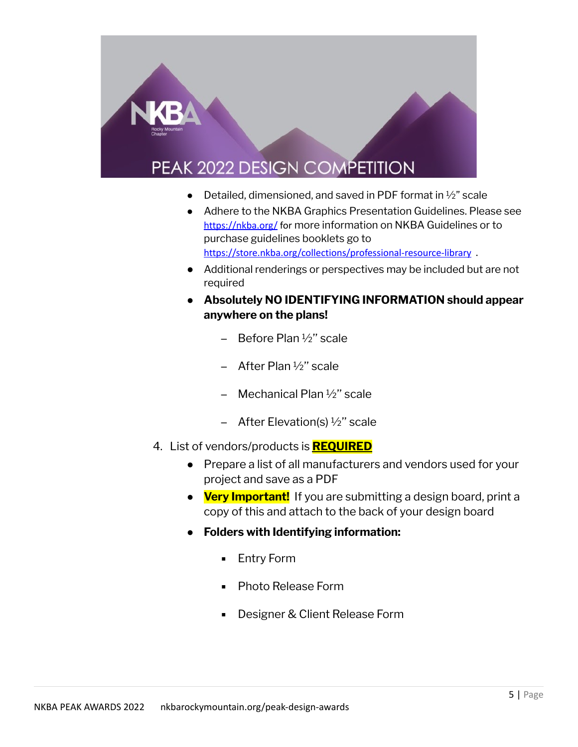# **PEAK 2022 DESIGN COMPETITION**

- Detailed, dimensioned, and saved in PDF format in  $\frac{1}{2}$ " scale
- Adhere to the NKBA Graphics Presentation Guidelines. Please see <https://nkba.org/> for more information on NKBA Guidelines or to purchase guidelines booklets go to <https://store.nkba.org/collections/professional-resource-library> .
- Additional renderings or perspectives may be included but are not required
- **Absolutely NO IDENTIFYING INFORMATION should appear anywhere on the plans!**
	- − Before Plan ½'' scale
	- − After Plan ½'' scale
	- − Mechanical Plan ½'' scale
	- − After Elevation(s) ½'' scale
- 4. List of vendors/products is **REQUIRED**
	- Prepare a list of all manufacturers and vendors used for your project and save as a PDF
	- **Very Important!** If you are submitting a design board, print a copy of this and attach to the back of your design board
	- **Folders with Identifying information:**
		- **Entry Form**
		- Photo Release Form
		- Designer & Client Release Form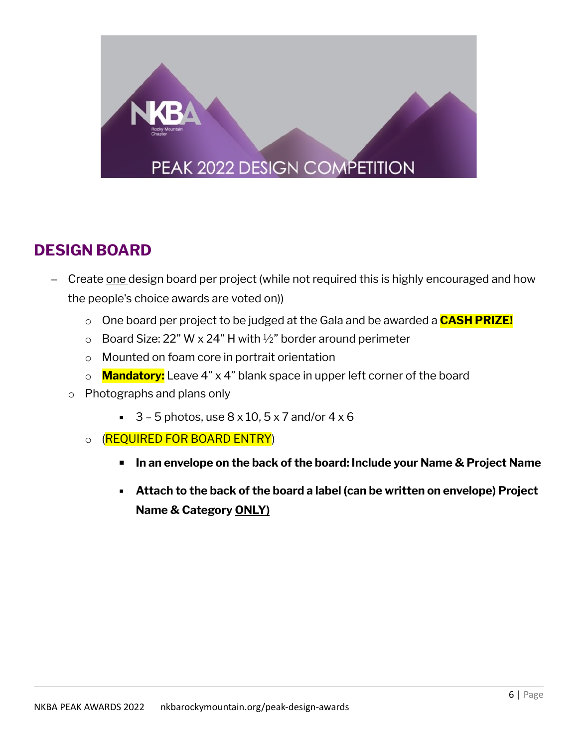

## **DESIGN BOARD**

- − Create <u>one</u> design board per project (while not required this is highly encouraged and how the people's choice awards are voted on))
	- o One board per project to be judged at the Gala and be awarded a **CASH PRIZE!**
	- $\circ$  Board Size: 22" W x 24" H with 1/2" border around perimeter
	- o Mounted on foam core in portrait orientation
	- o **Mandatory:** Leave 4" x 4" blank space in upper left corner of the board
	- o Photographs and plans only
		- $\overline{3}$  5 photos, use 8 x 10, 5 x 7 and/or 4 x 6
		- o (REQUIRED FOR BOARD ENTRY)
			- **▪ In an envelope on the back of the board: Include your Name & Project Name**
			- **Attach to the back of the board a label (can be written on envelope) Project Name & Category ONLY)**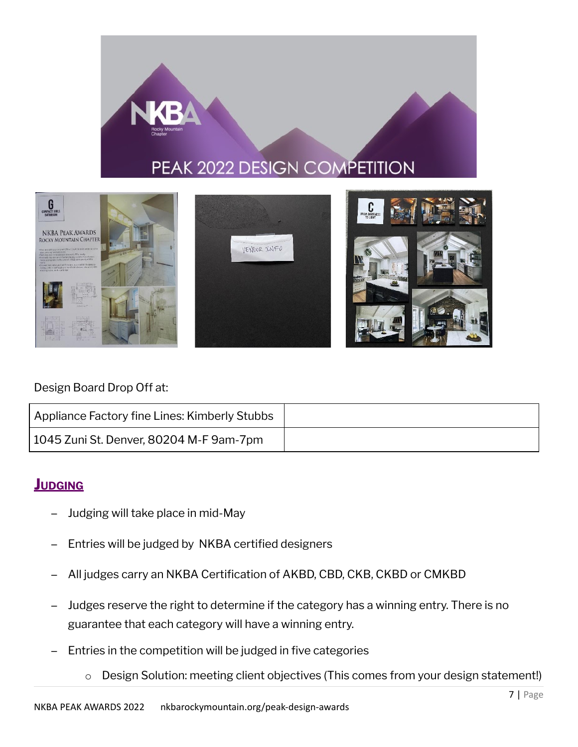## PEAK 2022 DESIGN COMPETITION



#### Design Board Drop Off at:

| Appliance Factory fine Lines: Kimberly Stubbs |  |
|-----------------------------------------------|--|
| 1045 Zuni St. Denver, 80204 M-F 9am-7pm       |  |

## **JUDGING**

- − Judging will take place in mid-May
- Entries will be judged by NKBA certified designers
- − All judges carry an NKBA Certification of AKBD, CBD, CKB, CKBD or CMKBD
- Judges reserve the right to determine if the category has a winning entry. There is no guarantee that each category will have a winning entry.
- − Entries in the competition will be judged in five categories
	- o Design Solution: meeting client objectives (This comes from your design statement!)